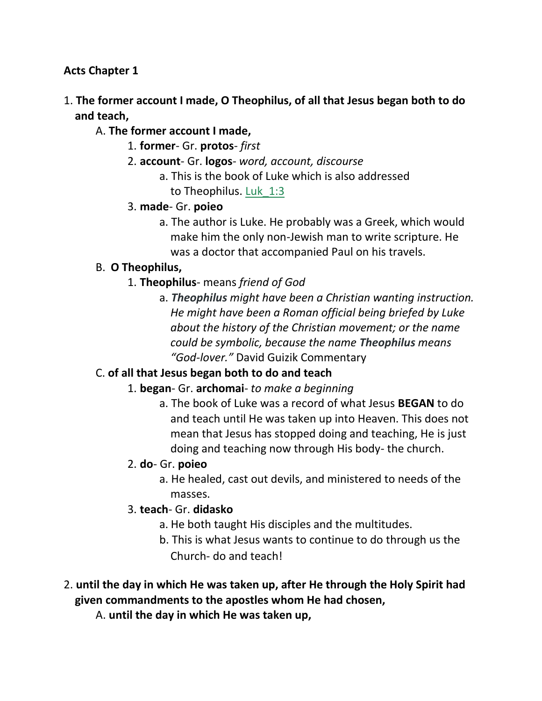#### **Acts Chapter 1**

- 1. **The former account I made, O Theophilus, of all that Jesus began both to do and teach,**
	- A. **The former account I made,**
		- 1. **former** Gr. **protos** *first*
		- 2. **account** Gr. **logos** *word, account, discourse*
			- a. This is the book of Luke which is also addressed to Theophilus. Luk\_1:3
		- 3. **made** Gr. **poieo**
			- a. The author is Luke. He probably was a Greek, which would make him the only non-Jewish man to write scripture. He was a doctor that accompanied Paul on his travels.

### B. **O Theophilus,**

- 1. **Theophilus** means *friend of God*
	- a. *Theophilus might have been a Christian wanting instruction. He might have been a Roman official being briefed by Luke about the history of the Christian movement; or the name could be symbolic, because the name Theophilus means "God-lover."* David Guizik Commentary

# C. **of all that Jesus began both to do and teach**

- 1. **began** Gr. **archomai** *to make a beginning*
	- a. The book of Luke was a record of what Jesus **BEGAN** to do and teach until He was taken up into Heaven. This does not mean that Jesus has stopped doing and teaching, He is just doing and teaching now through His body- the church.

### 2. **do**- Gr. **poieo**

a. He healed, cast out devils, and ministered to needs of the masses.

### 3. **teach**- Gr. **didasko**

- a. He both taught His disciples and the multitudes.
- b. This is what Jesus wants to continue to do through us the Church- do and teach!
- 2. **until the day in which He was taken up, after He through the Holy Spirit had given commandments to the apostles whom He had chosen,**
	- A. **until the day in which He was taken up,**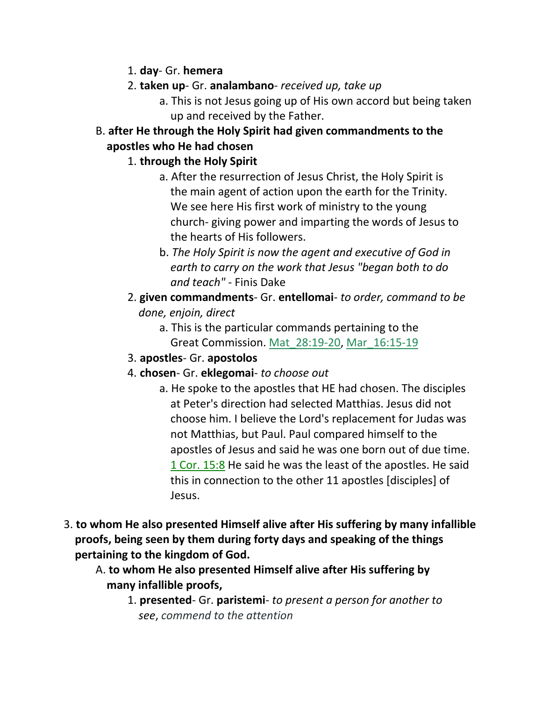- 1. **day** Gr. **hemera**
- 2. **taken up** Gr. **analambano** *received up, take up*
	- a. This is not Jesus going up of His own accord but being taken up and received by the Father.
- B. **after He through the Holy Spirit had given commandments to the apostles who He had chosen**

#### 1. **through the Holy Spirit**

- a. After the resurrection of Jesus Christ, the Holy Spirit is the main agent of action upon the earth for the Trinity. We see here His first work of ministry to the young church- giving power and imparting the words of Jesus to the hearts of His followers.
- b. *The Holy Spirit is now the agent and executive of God in earth to carry on the work that Jesus "began both to do and teach"* - Finis Dake
- 2. **given commandments** Gr. **entellomai** *to order, command to be* *done, enjoin, direct*
	- a. This is the particular commands pertaining to the Great Commission. Mat\_28:19-20, Mar\_16:15-19
- 3. **apostles** Gr. **apostolos**
- 4. **chosen** Gr. **eklegomai** *to choose out*
	- a. He spoke to the apostles that HE had chosen. The disciples at Peter's direction had selected Matthias. Jesus did not choose him. I believe the Lord's replacement for Judas was not Matthias, but Paul. Paul compared himself to the apostles of Jesus and said he was one born out of due time. 1 Cor. 15:8 He said he was the least of the apostles. He said this in connection to the other 11 apostles [disciples] of Jesus.
- 3. **to whom He also presented Himself alive after His suffering by many infallible proofs, being seen by them during forty days and speaking of the things pertaining to the kingdom of God.**
	- A. **to whom He also presented Himself alive after His suffering by many infallible proofs,**
		- 1. **presented** Gr. **paristemi** *to present a person for another to* *see*, *commend to the attention*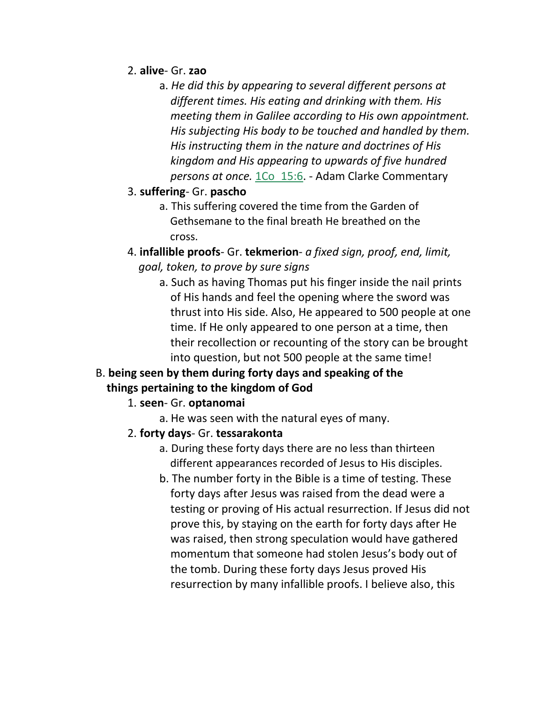- 2. **alive** Gr. **zao**
	- a. *He did this by appearing to several different persons at different times. His eating and drinking with them. His meeting them in Galilee according to His own appointment. His subjecting His body to be touched and handled by them. His instructing them in the nature and doctrines of His kingdom and His appearing to upwards of five hundred persons at once.* 1Co\_15:6. - Adam Clarke Commentary
- 3. **suffering** Gr. **pascho**
	- a. This suffering covered the time from the Garden of Gethsemane to the final breath He breathed on the cross.
- 4. **infallible proofs** Gr. **tekmerion** *a fixed sign, proof, end, limit,* *goal, token, to prove by sure signs*
	- a. Such as having Thomas put his finger inside the nail prints of His hands and feel the opening where the sword was thrust into His side. Also, He appeared to 500 people at one time. If He only appeared to one person at a time, then their recollection or recounting of the story can be brought into question, but not 500 people at the same time!

### B. **being seen by them during forty days and speaking of the things pertaining to the kingdom of God**

- 1. **seen** Gr. **optanomai**
	- a. He was seen with the natural eyes of many.
- 2. **forty days** Gr. **tessarakonta**
	- a. During these forty days there are no less than thirteen different appearances recorded of Jesus to His disciples.
	- b. The number forty in the Bible is a time of testing. These forty days after Jesus was raised from the dead were a testing or proving of His actual resurrection. If Jesus did not prove this, by staying on the earth for forty days after He was raised, then strong speculation would have gathered momentum that someone had stolen Jesus's body out of the tomb. During these forty days Jesus proved His resurrection by many infallible proofs. I believe also, this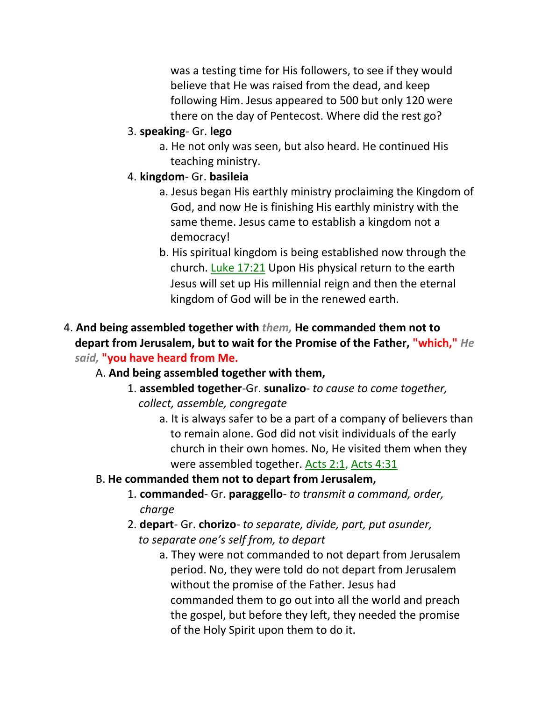was a testing time for His followers, to see if they would believe that He was raised from the dead, and keep following Him. Jesus appeared to 500 but only 120 were there on the day of Pentecost. Where did the rest go?

- 3. **speaking** Gr. **lego**
	- a. He not only was seen, but also heard. He continued His teaching ministry.
- 4. **kingdom** Gr. **basileia**
	- a. Jesus began His earthly ministry proclaiming the Kingdom of God, and now He is finishing His earthly ministry with the same theme. Jesus came to establish a kingdom not a democracy!
	- b. His spiritual kingdom is being established now through the church. Luke 17:21 Upon His physical return to the earth Jesus will set up His millennial reign and then the eternal kingdom of God will be in the renewed earth.

### 4. **And being assembled together with** *them,* **He commanded them not to depart from Jerusalem, but to wait for the Promise of the Father, "which,"** *He said,* **"you have heard from Me.**

### A. **And being assembled together with them,**

- 1. **assembled together**-Gr. **sunalizo** *to cause to come together,* *collect, assemble, congregate*
	- a. It is always safer to be a part of a company of believers than to remain alone. God did not visit individuals of the early church in their own homes. No, He visited them when they were assembled together. Acts 2:1, Acts 4:31

### B. **He commanded them not to depart from Jerusalem,**

- 1. **commanded** Gr. **paraggello** *to transmit a command, order, charge*
- 2. **depart** Gr. **chorizo** *to separate, divide, part, put asunder,*  *to separate one's self from, to depart*
	- a. They were not commanded to not depart from Jerusalem period. No, they were told do not depart from Jerusalem without the promise of the Father. Jesus had commanded them to go out into all the world and preach the gospel, but before they left, they needed the promise of the Holy Spirit upon them to do it.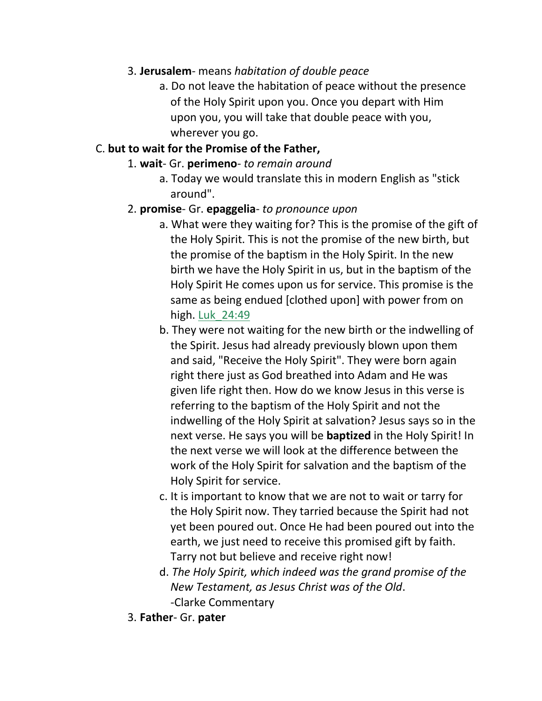#### 3. **Jerusalem**- means *habitation of double peace*

a. Do not leave the habitation of peace without the presence of the Holy Spirit upon you. Once you depart with Him upon you, you will take that double peace with you, wherever you go.

#### C. **but to wait for the Promise of the Father,**

- 1. **wait** Gr. **perimeno** *to remain around*
	- a. Today we would translate this in modern English as "stick around".

#### 2. **promise**- Gr. **epaggelia**- *to pronounce upon*

- a. What were they waiting for? This is the promise of the gift of the Holy Spirit. This is not the promise of the new birth, but the promise of the baptism in the Holy Spirit. In the new birth we have the Holy Spirit in us, but in the baptism of the Holy Spirit He comes upon us for service. This promise is the same as being endued [clothed upon] with power from on high. Luk\_24:49
- b. They were not waiting for the new birth or the indwelling of the Spirit. Jesus had already previously blown upon them and said, "Receive the Holy Spirit". They were born again right there just as God breathed into Adam and He was given life right then. How do we know Jesus in this verse is referring to the baptism of the Holy Spirit and not the indwelling of the Holy Spirit at salvation? Jesus says so in the next verse. He says you will be **baptized** in the Holy Spirit! In the next verse we will look at the difference between the work of the Holy Spirit for salvation and the baptism of the Holy Spirit for service.
- c. It is important to know that we are not to wait or tarry for the Holy Spirit now. They tarried because the Spirit had not yet been poured out. Once He had been poured out into the earth, we just need to receive this promised gift by faith. Tarry not but believe and receive right now!
- d. *The Holy Spirit, which indeed was the grand promise of the New Testament, as Jesus Christ was of the Old*. -Clarke Commentary
- 3. **Father** Gr. **pater**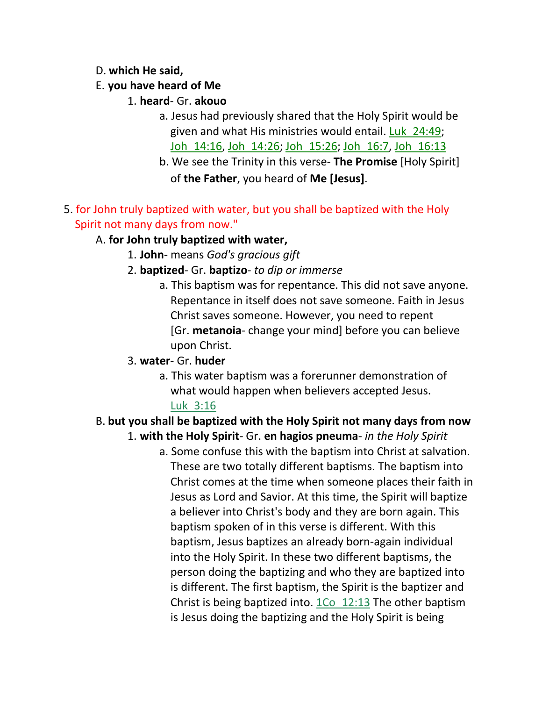#### D. **which He said,**

### E. **you have heard of Me**

- 1. **heard** Gr. **akouo**
	- a. Jesus had previously shared that the Holy Spirit would be given and what His ministries would entail. Luk\_24:49; Joh\_14:16, Joh\_14:26; Joh\_15:26; Joh\_16:7, Joh\_16:13
	- b. We see the Trinity in this verse- **The Promise** [Holy Spirit] of **the Father**, you heard of **Me [Jesus]**.
- 5. for John truly baptized with water, but you shall be baptized with the Holy Spirit not many days from now."

### A. **for John truly baptized with water,**

- 1. **John** means *God's gracious gift*
- 2. **baptized** Gr. **baptizo** *to dip or immerse*
	- a. This baptism was for repentance. This did not save anyone. Repentance in itself does not save someone. Faith in Jesus Christ saves someone. However, you need to repent [Gr. **metanoia**- change your mind] before you can believe upon Christ.

### 3. **water**- Gr. **huder**

a. This water baptism was a forerunner demonstration of what would happen when believers accepted Jesus. Luk\_3:16

#### B. **but you shall be baptized with the Holy Spirit not many days from now** 1. **with the Holy Spirit**- Gr. **en hagios pneuma**- *in the Holy Spirit*

a. Some confuse this with the baptism into Christ at salvation. These are two totally different baptisms. The baptism into Christ comes at the time when someone places their faith in Jesus as Lord and Savior. At this time, the Spirit will baptize a believer into Christ's body and they are born again. This baptism spoken of in this verse is different. With this baptism, Jesus baptizes an already born-again individual into the Holy Spirit. In these two different baptisms, the person doing the baptizing and who they are baptized into is different. The first baptism, the Spirit is the baptizer and Christ is being baptized into. 1Co\_12:13 The other baptism is Jesus doing the baptizing and the Holy Spirit is being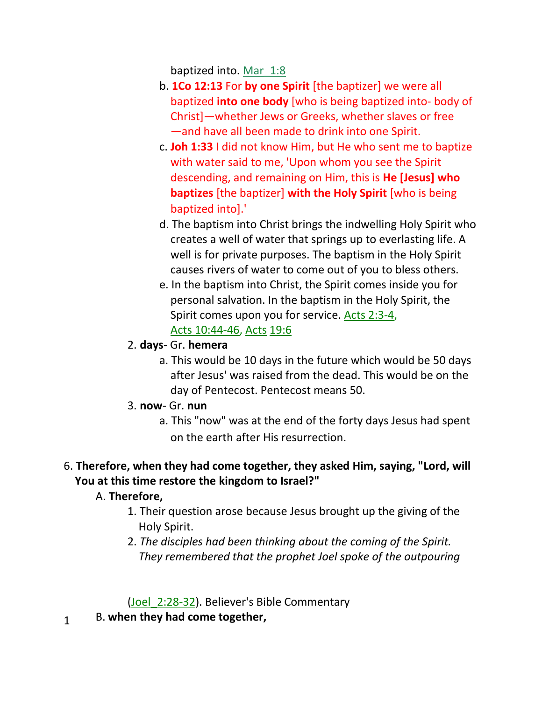baptized into. Mar\_1:8

- b. **1Co 12:13** For **by one Spirit** [the baptizer] we were all baptized **into one body** [who is being baptized into- body of Christ]—whether Jews or Greeks, whether slaves or free —and have all been made to drink into one Spirit.
- c. **Joh 1:33** I did not know Him, but He who sent me to baptize with water said to me, 'Upon whom you see the Spirit descending, and remaining on Him, this is **He [Jesus] who baptizes** [the baptizer] **with the Holy Spirit** [who is being baptized into].'
- d. The baptism into Christ brings the indwelling Holy Spirit who creates a well of water that springs up to everlasting life. A well is for private purposes. The baptism in the Holy Spirit causes rivers of water to come out of you to bless others.
- e. In the baptism into Christ, the Spirit comes inside you for personal salvation. In the baptism in the Holy Spirit, the Spirit comes upon you for service. Acts 2:3-4, Acts 10:44-46, Acts 19:6
- 2. **days** Gr. **hemera**
	- a. This would be 10 days in the future which would be 50 days after Jesus' was raised from the dead. This would be on the day of Pentecost. Pentecost means 50.
- 3. **now** Gr. **nun**
	- a. This "now" was at the end of the forty days Jesus had spent on the earth after His resurrection.

# 6. **Therefore, when they had come together, they asked Him, saying, "Lord, will You at this time restore the kingdom to Israel?"**

# A. **Therefore,**

- 1. Their question arose because Jesus brought up the giving of the Holy Spirit.
- 2. *The disciples had been thinking about the coming of the Spirit. They remembered that the prophet Joel spoke of the outpouring*

(Joel 2:28-32). Believer's Bible Commentary

B. **when they had come together,** 1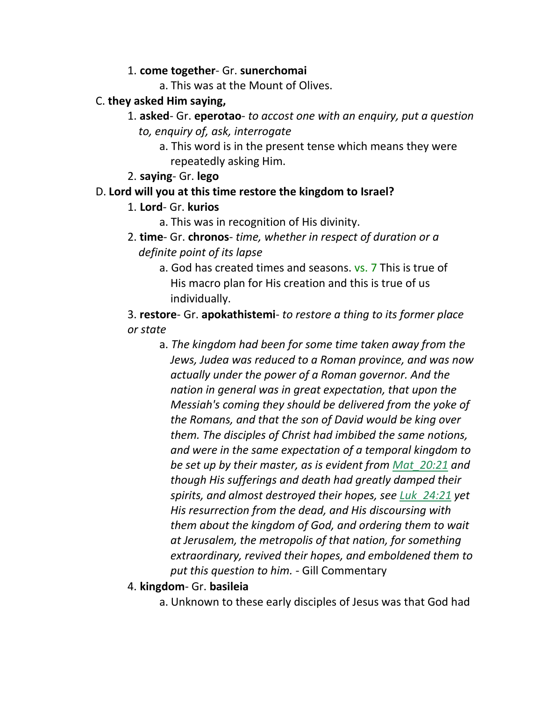#### 1. **come together**- Gr. **sunerchomai**

a. This was at the Mount of Olives.

#### C. **they asked Him saying,**

- 1. **asked** Gr. **eperotao** *to accost one with an enquiry, put a question to, enquiry of, ask, interrogate*
	- a. This word is in the present tense which means they were repeatedly asking Him.
- 2. **saying** Gr. **lego**

### D. **Lord will you at this time restore the kingdom to Israel?**

- 1. **Lord** Gr. **kurios**
	- a. This was in recognition of His divinity.
- 2. **time** Gr. **chronos** *time, whether in respect of duration or a definite point of its lapse*
	- a. God has created times and seasons. vs. 7 This is true of His macro plan for His creation and this is true of us individually.

3. **restore**- Gr. **apokathistemi**- *to restore a thing to its former place or state*

- a. *The kingdom had been for some time taken away from the Jews, Judea was reduced to a Roman province, and was now actually under the power of a Roman governor. And the nation in general was in great expectation, that upon the Messiah's coming they should be delivered from the yoke of the Romans, and that the son of David would be king over them. The disciples of Christ had imbibed the same notions, and were in the same expectation of a temporal kingdom to be set up by their master, as is evident from Mat\_20:21 and though His sufferings and death had greatly damped their spirits, and almost destroyed their hopes, see Luk\_24:21 yet His resurrection from the dead, and His discoursing with them about the kingdom of God, and ordering them to wait at Jerusalem, the metropolis of that nation, for something extraordinary, revived their hopes, and emboldened them to put this question to him.* - Gill Commentary
- 4. **kingdom** Gr. **basileia**
	- a. Unknown to these early disciples of Jesus was that God had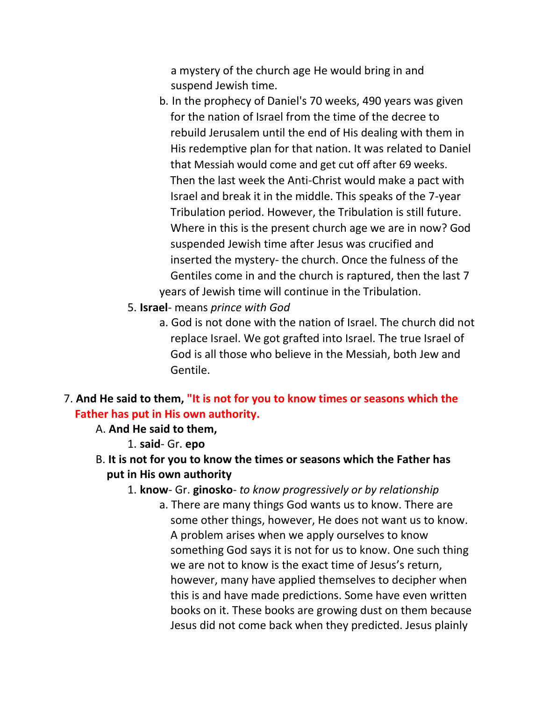a mystery of the church age He would bring in and suspend Jewish time.

- b. In the prophecy of Daniel's 70 weeks, 490 years was given for the nation of Israel from the time of the decree to rebuild Jerusalem until the end of His dealing with them in His redemptive plan for that nation. It was related to Daniel that Messiah would come and get cut off after 69 weeks. Then the last week the Anti-Christ would make a pact with Israel and break it in the middle. This speaks of the 7-year Tribulation period. However, the Tribulation is still future. Where in this is the present church age we are in now? God suspended Jewish time after Jesus was crucified and inserted the mystery- the church. Once the fulness of the Gentiles come in and the church is raptured, then the last 7 years of Jewish time will continue in the Tribulation.
- 5. **Israel** means *prince with God*
	- a. God is not done with the nation of Israel. The church did not replace Israel. We got grafted into Israel. The true Israel of God is all those who believe in the Messiah, both Jew and Gentile.

#### 7. **And He said to them, "It is not for you to know times or seasons which the Father has put in His own authority.**

- A. **And He said to them,**
	- 1. **said** Gr. **epo**
- B. **It is not for you to know the times or seasons which the Father has put in His own authority**
	- 1. **know** Gr. **ginosko** *to know progressively or by relationship*
		- a. There are many things God wants us to know. There are some other things, however, He does not want us to know. A problem arises when we apply ourselves to know something God says it is not for us to know. One such thing we are not to know is the exact time of Jesus's return, however, many have applied themselves to decipher when this is and have made predictions. Some have even written books on it. These books are growing dust on them because Jesus did not come back when they predicted. Jesus plainly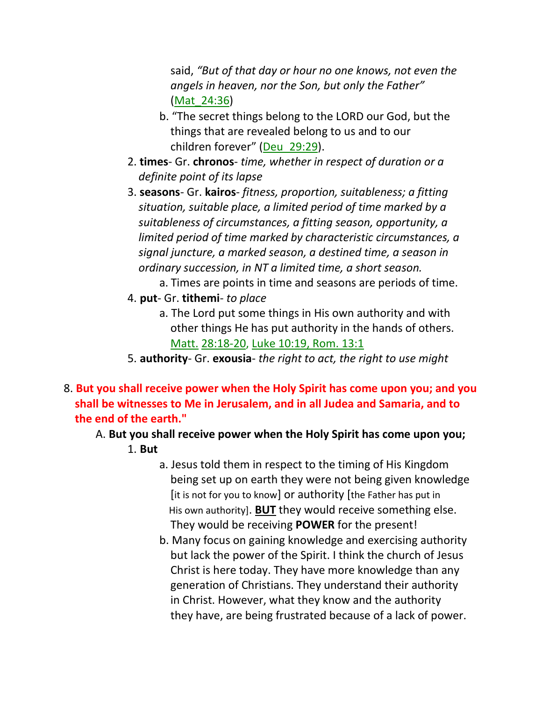said, *"But of that day or hour no one knows, not even the angels in heaven, nor the Son, but only the Father" (Mat 24:36)* 

- b. "The secret things belong to the LORD our God, but the things that are revealed belong to us and to our children forever" (Deu\_29:29).
- 2. **times** Gr. **chronos** *time, whether in respect of duration or a definite point of its lapse*
- 3. **seasons** Gr. **kairos** *fitness, proportion, suitableness; a fitting situation, suitable place, a limited period of time marked by a suitableness of circumstances, a fitting season, opportunity, a limited period of time marked by characteristic circumstances, a signal juncture, a marked season, a destined time, a season in ordinary succession, in NT a limited time, a short season.*
	- a. Times are points in time and seasons are periods of time.
- 4. **put** Gr. **tithemi** *to place*
	- a. The Lord put some things in His own authority and with other things He has put authority in the hands of others. Matt. 28:18-20, Luke 10:19, Rom. 13:1
- 5. **authority** Gr. **exousia** *the right to act, the right to use might*
- 8. **But you shall receive power when the Holy Spirit has come upon you; and you shall be witnesses to Me in Jerusalem, and in all Judea and Samaria, and to the end of the earth."**
	- A. **But you shall receive power when the Holy Spirit has come upon you;** 1. **But**
		- a. Jesus told them in respect to the timing of His Kingdom being set up on earth they were not being given knowledge [it is not for you to know] or authority [the Father has put in His own authority]. **BUT** they would receive something else. They would be receiving **POWER** for the present!
		- b. Many focus on gaining knowledge and exercising authority but lack the power of the Spirit. I think the church of Jesus Christ is here today. They have more knowledge than any generation of Christians. They understand their authority in Christ. However, what they know and the authority they have, are being frustrated because of a lack of power.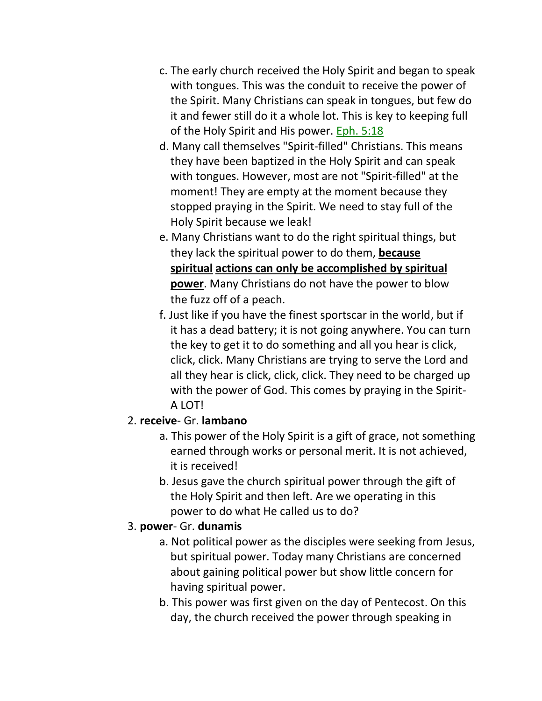- c. The early church received the Holy Spirit and began to speak with tongues. This was the conduit to receive the power of the Spirit. Many Christians can speak in tongues, but few do it and fewer still do it a whole lot. This is key to keeping full of the Holy Spirit and His power. Eph. 5:18
- d. Many call themselves "Spirit-filled" Christians. This means they have been baptized in the Holy Spirit and can speak with tongues. However, most are not "Spirit-filled" at the moment! They are empty at the moment because they stopped praying in the Spirit. We need to stay full of the Holy Spirit because we leak!
- e. Many Christians want to do the right spiritual things, but they lack the spiritual power to do them, **because spiritual actions can only be accomplished by spiritual power**. Many Christians do not have the power to blow the fuzz off of a peach.
- f. Just like if you have the finest sportscar in the world, but if it has a dead battery; it is not going anywhere. You can turn the key to get it to do something and all you hear is click, click, click. Many Christians are trying to serve the Lord and all they hear is click, click, click. They need to be charged up with the power of God. This comes by praying in the Spirit- A LOT!

### 2. **receive**- Gr. **lambano**

- a. This power of the Holy Spirit is a gift of grace, not something earned through works or personal merit. It is not achieved, it is received!
- b. Jesus gave the church spiritual power through the gift of the Holy Spirit and then left. Are we operating in this power to do what He called us to do?

# 3. **power**- Gr. **dunamis**

- a. Not political power as the disciples were seeking from Jesus, but spiritual power. Today many Christians are concerned about gaining political power but show little concern for having spiritual power.
- b. This power was first given on the day of Pentecost. On this day, the church received the power through speaking in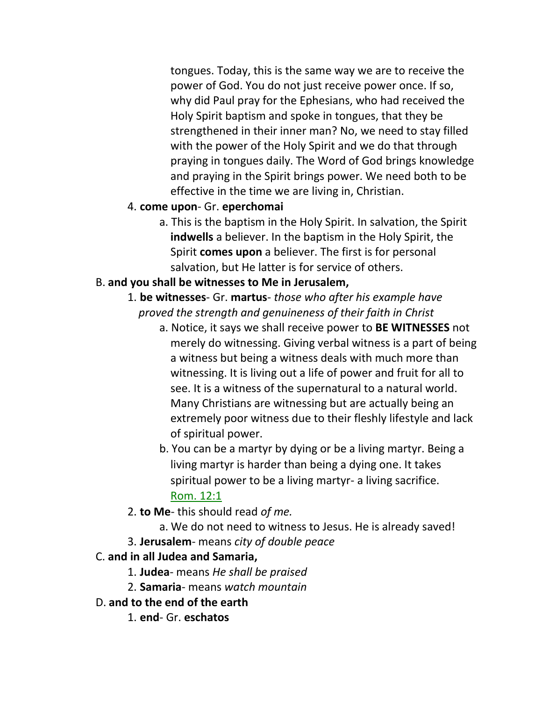tongues. Today, this is the same way we are to receive the power of God. You do not just receive power once. If so, why did Paul pray for the Ephesians, who had received the Holy Spirit baptism and spoke in tongues, that they be strengthened in their inner man? No, we need to stay filled with the power of the Holy Spirit and we do that through praying in tongues daily. The Word of God brings knowledge and praying in the Spirit brings power. We need both to be effective in the time we are living in, Christian.

#### 4. **come upon**- Gr. **eperchomai**

a. This is the baptism in the Holy Spirit. In salvation, the Spirit **indwells** a believer. In the baptism in the Holy Spirit, the Spirit **comes upon** a believer. The first is for personal salvation, but He latter is for service of others.

#### B. **and you shall be witnesses to Me in Jerusalem,**

- 1. **be witnesses** Gr. **martus** *those who after his example have proved the strength and genuineness of their faith in Christ*
	- a. Notice, it says we shall receive power to **BE WITNESSES** not merely do witnessing. Giving verbal witness is a part of being a witness but being a witness deals with much more than witnessing. It is living out a life of power and fruit for all to see. It is a witness of the supernatural to a natural world. Many Christians are witnessing but are actually being an extremely poor witness due to their fleshly lifestyle and lack of spiritual power.
	- b. You can be a martyr by dying or be a living martyr. Being a living martyr is harder than being a dying one. It takes spiritual power to be a living martyr- a living sacrifice. Rom. 12:1
- 2. **to Me** this should read *of me.*
	- a. We do not need to witness to Jesus. He is already saved!
- 3. **Jerusalem** means *city of double peace*
- C. **and in all Judea and Samaria,**
	- 1. **Judea** means *He shall be praised*
	- 2. **Samaria** means *watch mountain*
- D. **and to the end of the earth**
	- 1. **end** Gr. **eschatos**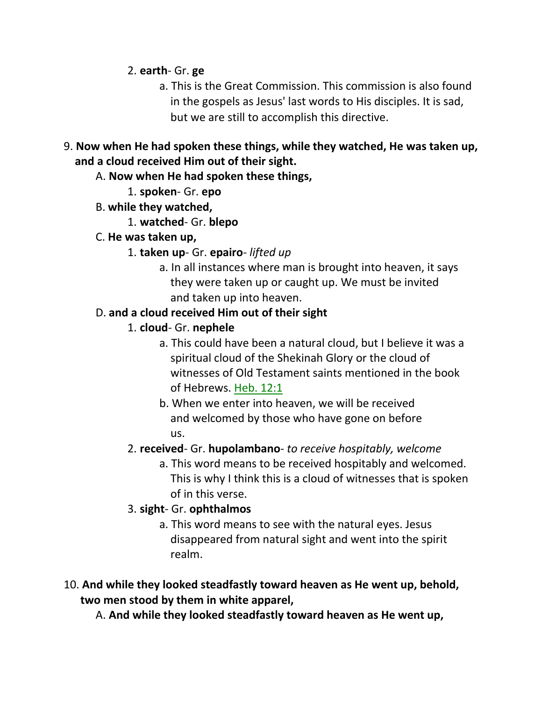2. **earth**- Gr. **ge**

- a. This is the Great Commission. This commission is also found in the gospels as Jesus' last words to His disciples. It is sad, but we are still to accomplish this directive.
- 9. **Now when He had spoken these things, while they watched, He was taken up, and a cloud received Him out of their sight.**
	- A. **Now when He had spoken these things,**
		- 1. **spoken** Gr. **epo**
	- B. **while they watched,**
		- 1. **watched** Gr. **blepo**
	- C. **He was taken up,**
		- 1. **taken up** Gr. **epairo** *lifted up*
			- a. In all instances where man is brought into heaven, it says they were taken up or caught up. We must be invited and taken up into heaven.

### D. **and a cloud received Him out of their sight**

- 1. **cloud** Gr. **nephele**
	- a. This could have been a natural cloud, but I believe it was a spiritual cloud of the Shekinah Glory or the cloud of witnesses of Old Testament saints mentioned in the book of Hebrews. Heb. 12:1
	- b. When we enter into heaven, we will be received and welcomed by those who have gone on before us.
- 2. **received** Gr. **hupolambano** *to receive hospitably, welcome*
	- a. This word means to be received hospitably and welcomed. This is why I think this is a cloud of witnesses that is spoken of in this verse.
- 3. **sight** Gr. **ophthalmos**
	- a. This word means to see with the natural eyes. Jesus disappeared from natural sight and went into the spirit realm.
- 10. **And while they looked steadfastly toward heaven as He went up, behold, two men stood by them in white apparel,**

A. **And while they looked steadfastly toward heaven as He went up,**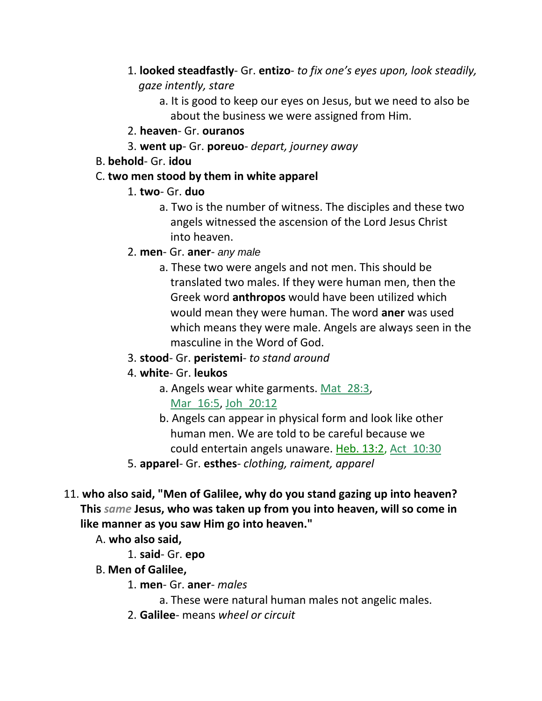- 1. **looked steadfastly** Gr. **entizo** *to fix one's eyes upon, look steadily, gaze intently, stare*
	- a. It is good to keep our eyes on Jesus, but we need to also be about the business we were assigned from Him.
- 2. **heaven** Gr. **ouranos**
- 3. **went up** Gr. **poreuo** *depart, journey away*
- B. **behold** Gr. **idou**
- C. **two men stood by them in white apparel**
	- 1. **two** Gr. **duo**
		- a. Two is the number of witness. The disciples and these two angels witnessed the ascension of the Lord Jesus Christ into heaven.
	- 2. **men** Gr. **aner** *any male*
		- a. These two were angels and not men. This should be translated two males. If they were human men, then the Greek word **anthropos** would have been utilized which would mean they were human. The word **aner** was used which means they were male. Angels are always seen in the masculine in the Word of God.
	- 3. **stood** Gr. **peristemi** *to stand around*
	- 4. **white** Gr. **leukos**
		- a. Angels wear white garments. Mat 28:3, Mar\_16:5, Joh\_20:12
		- b. Angels can appear in physical form and look like other human men. We are told to be careful because we could entertain angels unaware. Heb. 13:2, Act\_10:30
	- 5. **apparel** Gr. **esthes** *clothing, raiment, apparel*
- 11. **who also said, "Men of Galilee, why do you stand gazing up into heaven? This** *same* **Jesus, who was taken up from you into heaven, will so come in like manner as you saw Him go into heaven."**
	- A. **who also said,**
		- 1. **said** Gr. **epo**
	- B. **Men of Galilee,**
		- 1. **men** Gr. **aner** *males*
			- a. These were natural human males not angelic males.
		- 2. **Galilee** means *wheel or circuit*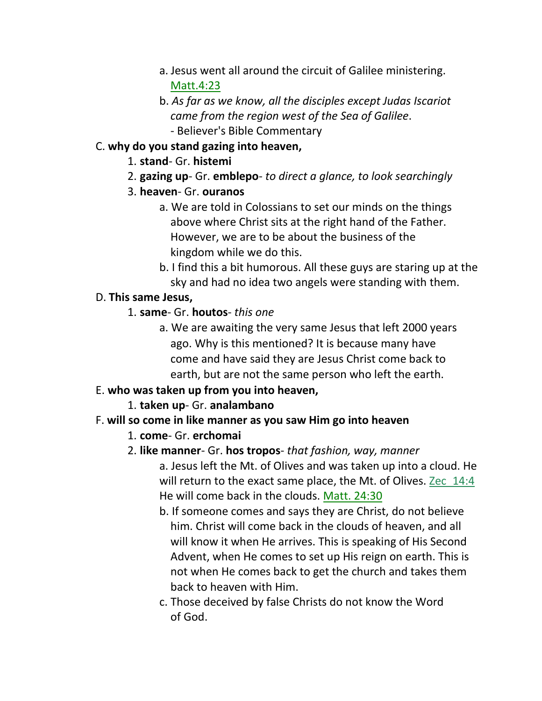- a. Jesus went all around the circuit of Galilee ministering. Matt.4:23
- b. *As far as we know, all the disciples except Judas Iscariot came from the region west of the Sea of Galilee*. - Believer's Bible Commentary
- C. **why do you stand gazing into heaven,**
	- 1. **stand** Gr. **histemi**
	- 2. **gazing up** Gr. **emblepo** *to direct a glance, to look searchingly*
	- 3. **heaven** Gr. **ouranos**
		- a. We are told in Colossians to set our minds on the things above where Christ sits at the right hand of the Father. However, we are to be about the business of the kingdom while we do this.
		- b. I find this a bit humorous. All these guys are staring up at the sky and had no idea two angels were standing with them.

### D. **This same Jesus,**

- 1. **same** Gr. **houtos** *this one*
	- a. We are awaiting the very same Jesus that left 2000 years ago. Why is this mentioned? It is because many have come and have said they are Jesus Christ come back to earth, but are not the same person who left the earth.

# E. **who was taken up from you into heaven,**

- 1. **taken up** Gr. **analambano**
- F. **will so come in like manner as you saw Him go into heaven**
	- 1. **come** Gr. **erchomai**
	- 2. **like manner** Gr. **hos tropos** *that fashion, way, manner*
		- a. Jesus left the Mt. of Olives and was taken up into a cloud. He will return to the exact same place, the Mt. of Olives. Zec 14:4 He will come back in the clouds. Matt. 24:30
			- b. If someone comes and says they are Christ, do not believe him. Christ will come back in the clouds of heaven, and all will know it when He arrives. This is speaking of His Second Advent, when He comes to set up His reign on earth. This is not when He comes back to get the church and takes them back to heaven with Him.
			- c. Those deceived by false Christs do not know the Word of God.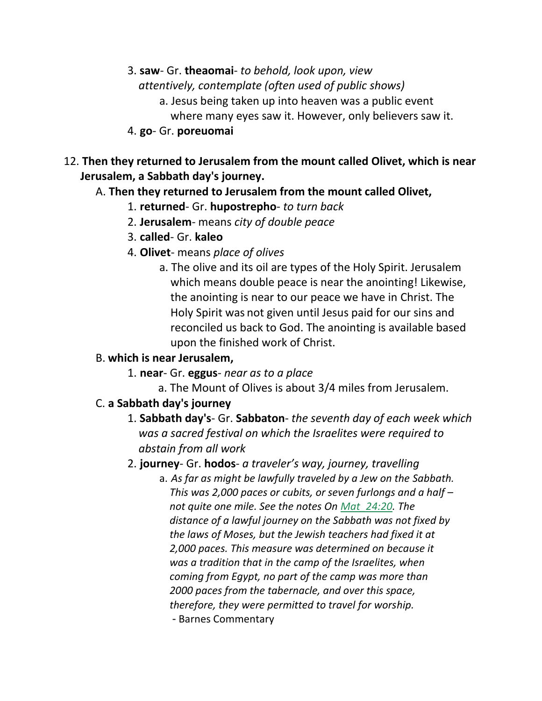- 3. **saw** Gr. **theaomai** *to behold, look upon, view*  *attentively, contemplate (often used of public shows)*
	- a. Jesus being taken up into heaven was a public event
		- where many eyes saw it. However, only believers saw it.
- 4. **go** Gr. **poreuomai**
- 12. **Then they returned to Jerusalem from the mount called Olivet, which is near Jerusalem, a Sabbath day's journey.**

# A. **Then they returned to Jerusalem from the mount called Olivet,**

- 1. **returned** Gr. **hupostrepho** *to turn back*
- 2. **Jerusalem** means *city of double peace*
- 3. **called** Gr. **kaleo**
- 4. **Olivet** means *place of olives*
	- a. The olive and its oil are types of the Holy Spirit. Jerusalem which means double peace is near the anointing! Likewise, the anointing is near to our peace we have in Christ. The Holy Spirit was not given until Jesus paid for our sins and reconciled us back to God. The anointing is available based upon the finished work of Christ.

# B. **which is near Jerusalem,**

- 1. **near** Gr. **eggus** *near as to a place*
	- a. The Mount of Olives is about 3/4 miles from Jerusalem.

# C. **a Sabbath day's journey**

1. **Sabbath day's**- Gr. **Sabbaton**- *the seventh day of each week which* *was a sacred festival on which the Israelites were required to abstain from all work*

# 2. **journey**- Gr. **hodos**- *a traveler's way, journey, travelling*

- a. *As far as might be lawfully traveled by a Jew on the Sabbath. This was 2,000 paces or cubits, or seven furlongs and a half – not quite one mile. See the notes On Mat\_24:20. The distance of a lawful journey on the Sabbath was not fixed by the laws of Moses, but the Jewish teachers had fixed it at 2,000 paces. This measure was determined on because it was a tradition that in the camp of the Israelites, when coming from Egypt, no part of the camp was more than 2000 paces from the tabernacle, and over this space, therefore, they were permitted to travel for worship.*
	- Barnes Commentary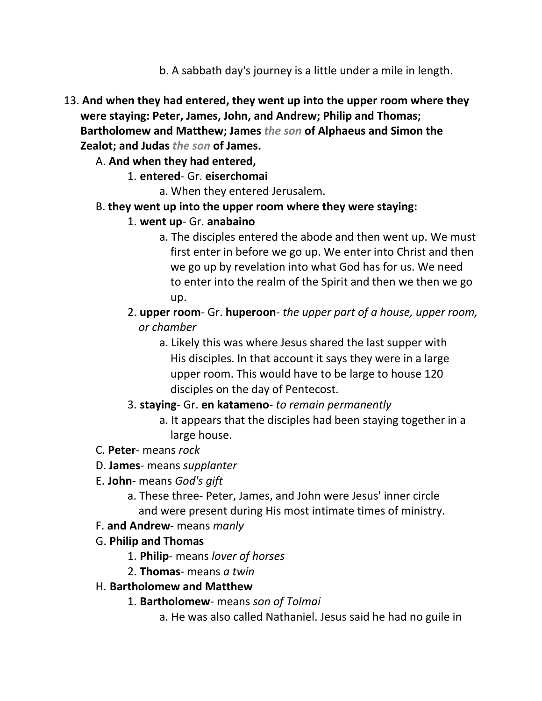- b. A sabbath day's journey is a little under a mile in length.
- 13. **And when they had entered, they went up into the upper room where they were staying: Peter, James, John, and Andrew; Philip and Thomas; Bartholomew and Matthew; James** *the son* **of Alphaeus and Simon the Zealot; and Judas** *the son* **of James.**
	- A. **And when they had entered,**
		- 1. **entered** Gr. **eiserchomai**

a. When they entered Jerusalem.

- B. **they went up into the upper room where they were staying:**
	- 1. **went up** Gr. **anabaino**
		- a. The disciples entered the abode and then went up. We must first enter in before we go up. We enter into Christ and then we go up by revelation into what God has for us. We need to enter into the realm of the Spirit and then we then we go up.
	- 2. **upper room** Gr. **huperoon** *the upper part of a house, upper room,* *or chamber*
		- a. Likely this was where Jesus shared the last supper with His disciples. In that account it says they were in a large upper room. This would have to be large to house 120 disciples on the day of Pentecost.
	- 3. **staying** Gr. **en katameno** *to remain permanently*
		- a. It appears that the disciples had been staying together in a large house.
- C. **Peter** means *rock*
- D. **James** means *supplanter*
- E. **John** means *God's gift*
	- a. These three- Peter, James, and John were Jesus' inner circle and were present during His most intimate times of ministry.
- F. **and Andrew** means *manly*
- G. **Philip and Thomas**
	- 1. **Philip** means *lover of horses*
	- 2. **Thomas** means *a twin*
- H. **Bartholomew and Matthew**
	- 1. **Bartholomew** means *son of Tolmai*
		- a. He was also called Nathaniel. Jesus said he had no guile in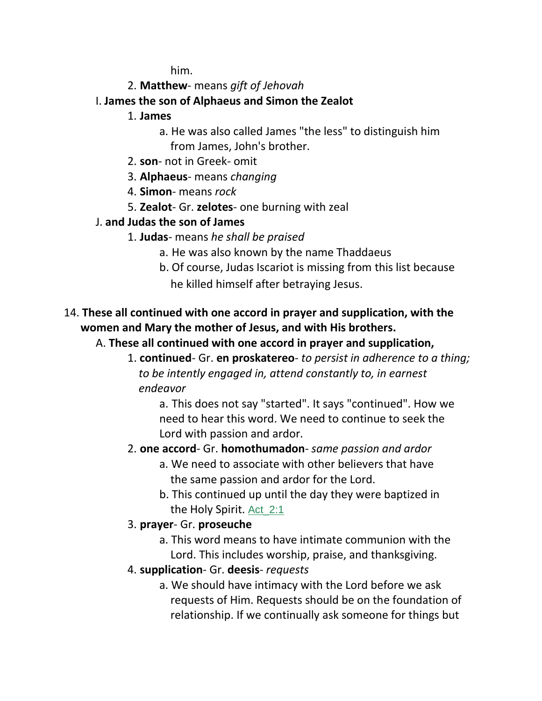him.

- 2. **Matthew** means *gift of Jehovah*
- I. **James the son of Alphaeus and Simon the Zealot**
	- 1. **James**
		- a. He was also called James "the less" to distinguish him from James, John's brother.
	- 2. **son** not in Greek- omit
	- 3. **Alphaeus** means *changing*
	- 4. **Simon** means *rock*
	- 5. **Zealot** Gr. **zelotes** one burning with zeal
- J. **and Judas the son of James**
	- 1. **Judas** means *he shall be praised*
		- a. He was also known by the name Thaddaeus
		- b. Of course, Judas Iscariot is missing from this list because he killed himself after betraying Jesus.
- 14. **These all continued with one accord in prayer and supplication, with the women and Mary the mother of Jesus, and with His brothers.**
	- A. **These all continued with one accord in prayer and supplication,**
		- 1. **continued** Gr. **en proskatereo** *to persist in adherence to a thing;* *to be intently engaged in, attend constantly to, in earnest endeavor*

a. This does not say "started". It says "continued". How we need to hear this word. We need to continue to seek the Lord with passion and ardor.

# 2. **one accord**- Gr. **homothumadon**- *same passion and ardor*

- a. We need to associate with other believers that have the same passion and ardor for the Lord.
- b. This continued up until the day they were baptized in the Holy Spirit. Act\_2:1
- 3. **prayer** Gr. **proseuche**
	- a. This word means to have intimate communion with the Lord. This includes worship, praise, and thanksgiving.
- 4. **supplication** Gr. **deesis** *requests*
	- a. We should have intimacy with the Lord before we ask requests of Him. Requests should be on the foundation of relationship. If we continually ask someone for things but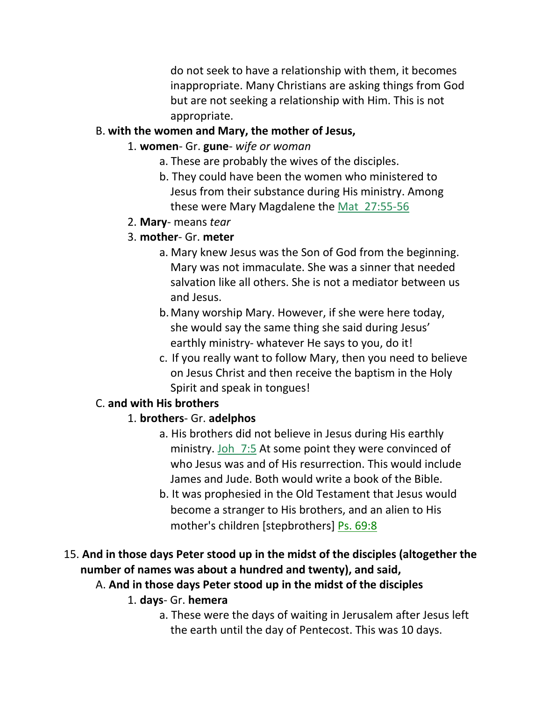do not seek to have a relationship with them, it becomes inappropriate. Many Christians are asking things from God but are not seeking a relationship with Him. This is not appropriate.

#### B. **with the women and Mary, the mother of Jesus,**

- 1. **women** Gr. **gune** *wife or woman*
	- a. These are probably the wives of the disciples.
	- b. They could have been the women who ministered to Jesus from their substance during His ministry. Among these were Mary Magdalene the Mat\_27:55-56
- 2. **Mary** means *tear*

#### 3. **mother**- Gr. **meter**

- a. Mary knew Jesus was the Son of God from the beginning. Mary was not immaculate. She was a sinner that needed salvation like all others. She is not a mediator between us and Jesus.
- b.Many worship Mary. However, if she were here today, she would say the same thing she said during Jesus' earthly ministry- whatever He says to you, do it!
- c. If you really want to follow Mary, then you need to believe on Jesus Christ and then receive the baptism in the Holy Spirit and speak in tongues!

### C. **and with His brothers**

### 1. **brothers**- Gr. **adelphos**

- a. His brothers did not believe in Jesus during His earthly ministry. Joh 7:5 At some point they were convinced of who Jesus was and of His resurrection. This would include James and Jude. Both would write a book of the Bible.
- b. It was prophesied in the Old Testament that Jesus would become a stranger to His brothers, and an alien to His mother's children [stepbrothers] Ps. 69:8

# 15. **And in those days Peter stood up in the midst of the disciples (altogether the number of names was about a hundred and twenty), and said,**

- A. **And in those days Peter stood up in the midst of the disciples**
	- 1. **days** Gr. **hemera**
		- a. These were the days of waiting in Jerusalem after Jesus left the earth until the day of Pentecost. This was 10 days.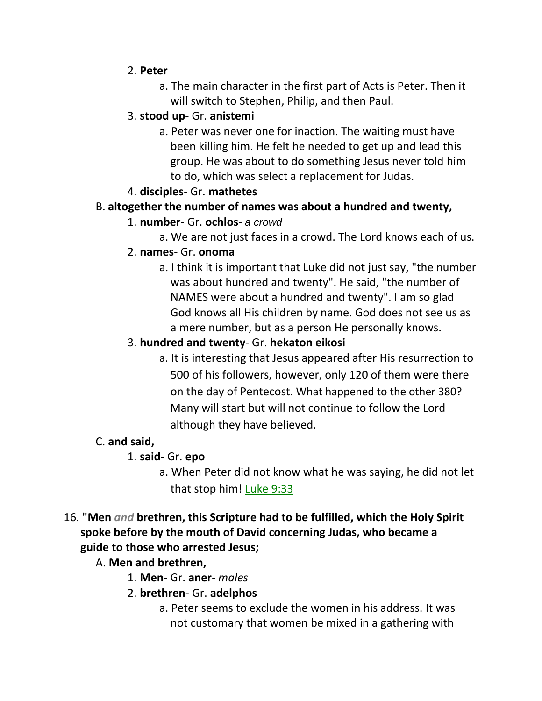#### 2. **Peter**

a. The main character in the first part of Acts is Peter. Then it will switch to Stephen, Philip, and then Paul.

# 3. **stood up**- Gr. **anistemi**

a. Peter was never one for inaction. The waiting must have been killing him. He felt he needed to get up and lead this group. He was about to do something Jesus never told him to do, which was select a replacement for Judas.

### 4. **disciples**- Gr. **mathetes**

### B. **altogether the number of names was about a hundred and twenty,**

#### 1. **number**- Gr. **ochlos**- *a crowd*

a. We are not just faces in a crowd. The Lord knows each of us.

#### 2. **names**- Gr. **onoma**

a. I think it is important that Luke did not just say, "the number was about hundred and twenty". He said, "the number of NAMES were about a hundred and twenty". I am so glad God knows all His children by name. God does not see us as a mere number, but as a person He personally knows.

#### 3. **hundred and twenty**- Gr. **hekaton eikosi**

a. It is interesting that Jesus appeared after His resurrection to 500 of his followers, however, only 120 of them were there on the day of Pentecost. What happened to the other 380? Many will start but will not continue to follow the Lord although they have believed.

### C. **and said,**

- 1. **said** Gr. **epo**
	- a. When Peter did not know what he was saying, he did not let that stop him! Luke 9:33

### 16. **"Men** *and* **brethren, this Scripture had to be fulfilled, which the Holy Spirit spoke before by the mouth of David concerning Judas, who became a guide to those who arrested Jesus;**

- A. **Men and brethren,**
	- 1. **Men** Gr. **aner** *males*
	- 2. **brethren** Gr. **adelphos**
		- a. Peter seems to exclude the women in his address. It was not customary that women be mixed in a gathering with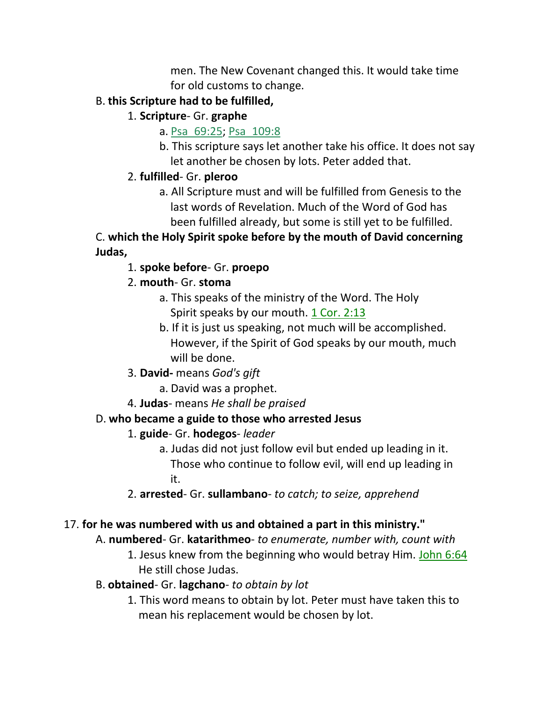men. The New Covenant changed this. It would take time for old customs to change.

### B. **this Scripture had to be fulfilled,**

- 1. **Scripture** Gr. **graphe**
	- a. Psa\_69:25; Psa\_109:8
	- b. This scripture says let another take his office. It does not say let another be chosen by lots. Peter added that.

# 2. **fulfilled**- Gr. **pleroo**

a. All Scripture must and will be fulfilled from Genesis to the last words of Revelation. Much of the Word of God has been fulfilled already, but some is still yet to be fulfilled.

C. **which the Holy Spirit spoke before by the mouth of David concerning Judas,**

1. **spoke before**- Gr. **proepo**

# 2. **mouth**- Gr. **stoma**

- a. This speaks of the ministry of the Word. The Holy Spirit speaks by our mouth. 1 Cor. 2:13
- b. If it is just us speaking, not much will be accomplished. However, if the Spirit of God speaks by our mouth, much will be done.
- 3. **David-** means *God's gift*
	- a. David was a prophet.
- 4. **Judas** means *He shall be praised*

# D. **who became a guide to those who arrested Jesus**

# 1. **guide**- Gr. **hodegos**- *leader*

- a. Judas did not just follow evil but ended up leading in it. Those who continue to follow evil, will end up leading in it.
- 2. **arrested** Gr. **sullambano** *to catch; to seize, apprehend*

# 17. **for he was numbered with us and obtained a part in this ministry."**

# A. **numbered**- Gr. **katarithmeo**- *to enumerate, number with, count with*

- 1. Jesus knew from the beginning who would betray Him. John 6:64 He still chose Judas.
- B. **obtained** Gr. **lagchano** *to obtain by lot*
	- 1. This word means to obtain by lot. Peter must have taken this to mean his replacement would be chosen by lot.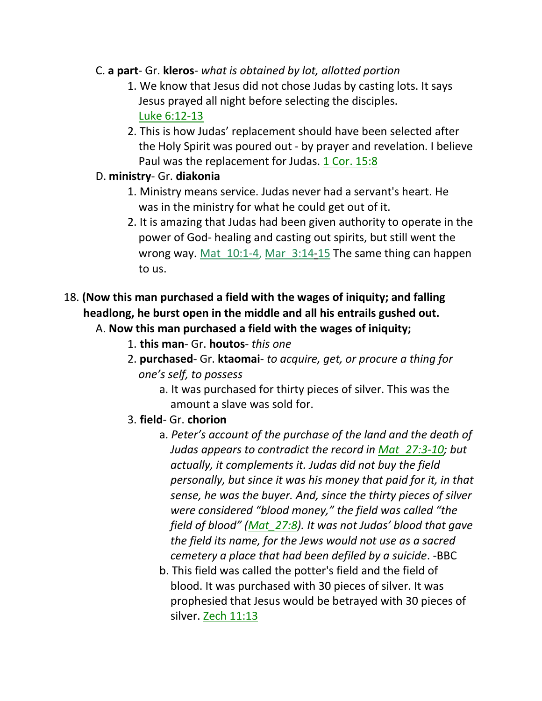- C. **a part** Gr. **kleros** *what is obtained by lot, allotted portion*
	- 1. We know that Jesus did not chose Judas by casting lots. It says Jesus prayed all night before selecting the disciples. Luke 6:12-13
	- 2. This is how Judas' replacement should have been selected after the Holy Spirit was poured out - by prayer and revelation. I believe Paul was the replacement for Judas. 1 Cor. 15:8

#### D. **ministry**- Gr. **diakonia**

- 1. Ministry means service. Judas never had a servant's heart. He was in the ministry for what he could get out of it.
- 2. It is amazing that Judas had been given authority to operate in the power of God- healing and casting out spirits, but still went the wrong way. Mat 10:1-4, Mar 3:14-15 The same thing can happen to us.
- 18. **(Now this man purchased a field with the wages of iniquity; and falling headlong, he burst open in the middle and all his entrails gushed out.**
	- A. **Now this man purchased a field with the wages of iniquity;**
		- 1. **this man** Gr. **houtos** *this one*
		- 2. **purchased** Gr. **ktaomai** *to acquire, get, or procure a thing for* *one's self, to possess*
			- a. It was purchased for thirty pieces of silver. This was the amount a slave was sold for.
		- 3. **field** Gr. **chorion**
			- a. *Peter's account of the purchase of the land and the death of Judas appears to contradict the record in Mat\_27:3-10; but actually, it complements it. Judas did not buy the field personally, but since it was his money that paid for it, in that sense, he was the buyer. And, since the thirty pieces of silver were considered "blood money," the field was called "the field of blood" (Mat\_27:8). It was not Judas' blood that gave the field its name, for the Jews would not use as a sacred cemetery a place that had been defiled by a suicide*. -BBC
			- b. This field was called the potter's field and the field of blood. It was purchased with 30 pieces of silver. It was prophesied that Jesus would be betrayed with 30 pieces of silver. Zech 11:13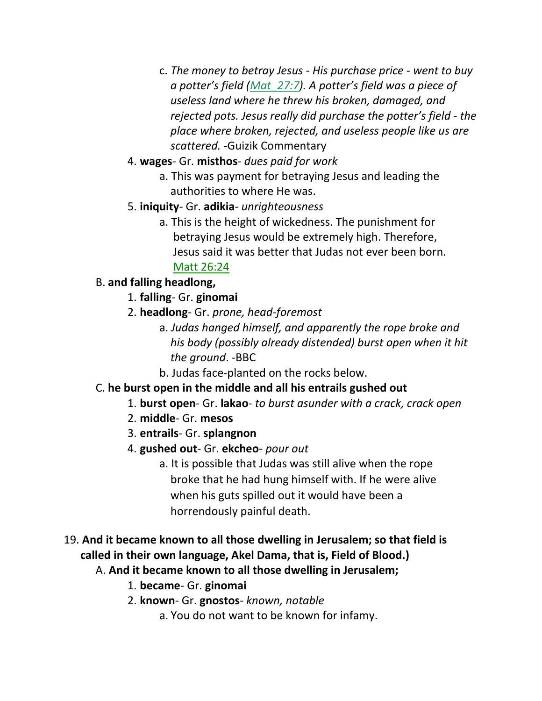- c. *The money to betray Jesus - His purchase price - went to buy a potter's field (Mat\_27:7). A potter's field was a piece of useless land where he threw his broken, damaged, and rejected pots. Jesus really did purchase the potter's field - the place where broken, rejected, and useless people like us are scattered. -*Guizik Commentary
- 4. **wages** Gr. **misthos** *dues paid for work*
	- a. This was payment for betraying Jesus and leading the authorities to where He was.
- 5. **iniquity** Gr. **adikia** *unrighteousness*
	- a. This is the height of wickedness. The punishment for betraying Jesus would be extremely high. Therefore, Jesus said it was better that Judas not ever been born. Matt 26:24
- B. **and falling headlong,**
	- 1. **falling** Gr. **ginomai**
	- 2. **headlong** Gr. *prone, head-foremost*
		- a. *Judas hanged himself, and apparently the rope broke and his body (possibly already distended) burst open when it hit the ground*. -BBC
			- b. Judas face-planted on the rocks below.
- C. **he burst open in the middle and all his entrails gushed out**
	- 1. **burst open** Gr. **lakao** *to burst asunder with a crack, crack open*
	- 2. **middle** Gr. **mesos**
	- 3. **entrails** Gr. **splangnon**
	- 4. **gushed out** Gr. **ekcheo** *pour out*
		- a. It is possible that Judas was still alive when the rope broke that he had hung himself with. If he were alive when his guts spilled out it would have been a horrendously painful death.
- 19. **And it became known to all those dwelling in Jerusalem; so that field is called in their own language, Akel Dama, that is, Field of Blood.)**
	- A. **And it became known to all those dwelling in Jerusalem;**
		- 1. **became** Gr. **ginomai**
		- 2. **known** Gr. **gnostos** *known, notable*
			- a. You do not want to be known for infamy.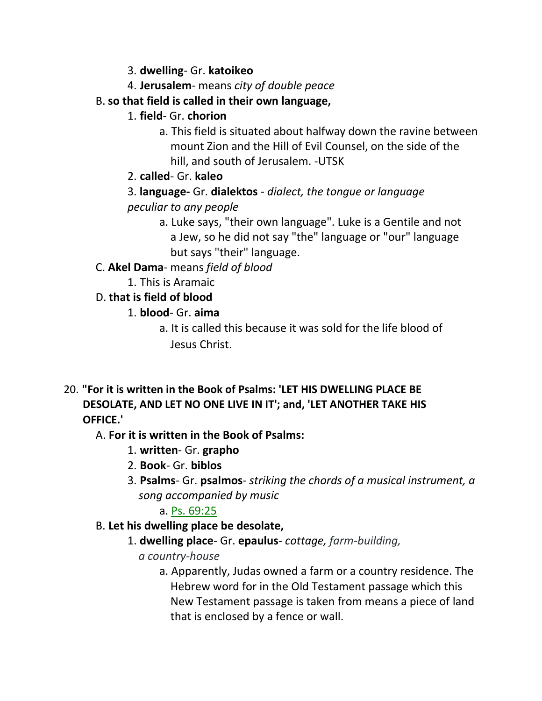- 3. **dwelling** Gr. **katoikeo**
- 4. **Jerusalem** means *city of double peace*
- B. **so that field is called in their own language,**
	- 1. **field** Gr. **chorion**
		- a. This field is situated about halfway down the ravine between mount Zion and the Hill of Evil Counsel, on the side of the hill, and south of Jerusalem. -UTSK
	- 2. **called** Gr. **kaleo**
	- 3. **language-** Gr. **dialektos** *dialect, the tongue or language peculiar to any people*
		- a. Luke says, "their own language". Luke is a Gentile and not a Jew, so he did not say "the" language or "our" language but says "their" language.
- C. **Akel Dama** means *field of blood*
	- 1. This is Aramaic
- D. **that is field of blood**
	- 1. **blood** Gr. **aima**
		- a. It is called this because it was sold for the life blood of Jesus Christ.
- 20. **"For it is written in the Book of Psalms: 'LET HIS DWELLING PLACE BE DESOLATE, AND LET NO ONE LIVE IN IT'; and, 'LET ANOTHER TAKE HIS OFFICE.'**
	- A. **For it is written in the Book of Psalms:**
		- 1. **written** Gr. **grapho**
		- 2. **Book** Gr. **biblos**
		- 3. **Psalms** Gr. **psalmos** *striking the chords of a musical instrument, a song accompanied by music*

# a. Ps. 69:25

- B. **Let his dwelling place be desolate,**
	- 1. **dwelling place** Gr. **epaulus** *cottage, farm-building,*

# *a country-house*

a. Apparently, Judas owned a farm or a country residence. The Hebrew word for in the Old Testament passage which this New Testament passage is taken from means a piece of land that is enclosed by a fence or wall.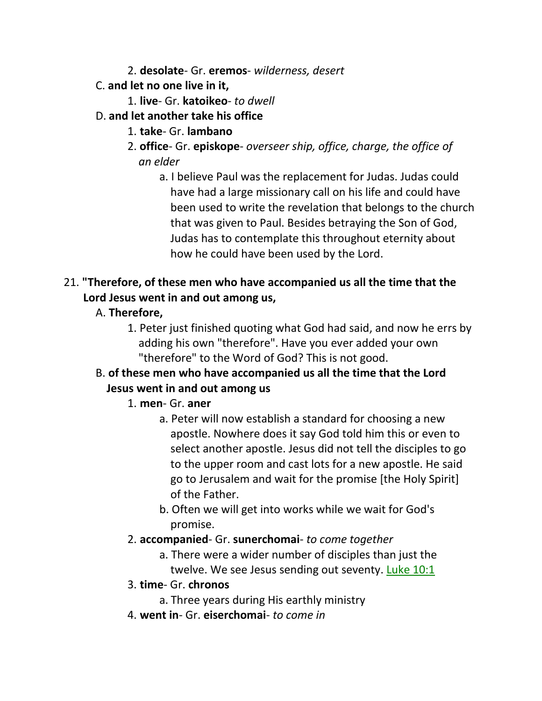- 2. **desolate** Gr. **eremos** *wilderness, desert*
- C. **and let no one live in it,**
	- 1. **live** Gr. **katoikeo** *to dwell*
- D. **and let another take his office**
	- 1. **take** Gr. **lambano**
	- 2. **office** Gr. **episkope** *overseer ship, office, charge, the office of an elder*
		- a. I believe Paul was the replacement for Judas. Judas could have had a large missionary call on his life and could have been used to write the revelation that belongs to the church that was given to Paul. Besides betraying the Son of God, Judas has to contemplate this throughout eternity about how he could have been used by the Lord.

# 21. **"Therefore, of these men who have accompanied us all the time that the Lord Jesus went in and out among us,**

- A. **Therefore,**
	- 1. Peter just finished quoting what God had said, and now he errs by adding his own "therefore". Have you ever added your own "therefore" to the Word of God? This is not good.

# B. **of these men who have accompanied us all the time that the Lord Jesus went in and out among us**

### 1. **men**- Gr. **aner**

- a. Peter will now establish a standard for choosing a new apostle. Nowhere does it say God told him this or even to select another apostle. Jesus did not tell the disciples to go to the upper room and cast lots for a new apostle. He said go to Jerusalem and wait for the promise [the Holy Spirit] of the Father.
- b. Often we will get into works while we wait for God's promise.
- 2. **accompanied** Gr. **sunerchomai** *to come together*
	- a. There were a wider number of disciples than just the twelve. We see Jesus sending out seventy. Luke 10:1
- 3. **time** Gr. **chronos**
	- a. Three years during His earthly ministry
- 4. **went in** Gr. **eiserchomai** *to come in*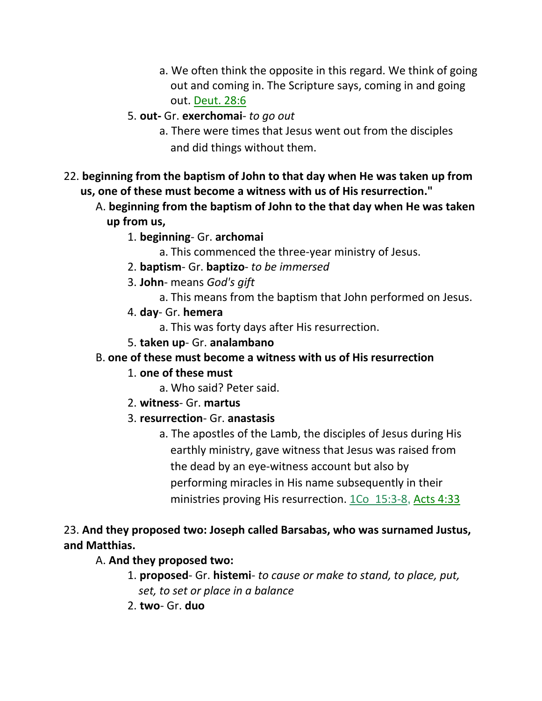- a. We often think the opposite in this regard. We think of going out and coming in. The Scripture says, coming in and going out. Deut. 28:6
- 5. **out-** Gr. **exerchomai** *to go out*
	- a. There were times that Jesus went out from the disciples and did things without them.
- 22. **beginning from the baptism of John to that day when He was taken up from us, one of these must become a witness with us of His resurrection."**
	- A. **beginning from the baptism of John to the that day when He was taken up from us,**
		- 1. **beginning** Gr. **archomai**
			- a. This commenced the three-year ministry of Jesus.
		- 2. **baptism** Gr. **baptizo** *to be immersed*
		- 3. **John** means *God's gift*
			- a. This means from the baptism that John performed on Jesus.
		- 4. **day** Gr. **hemera**
			- a. This was forty days after His resurrection.
		- 5. **taken up** Gr. **analambano**

### B. **one of these must become a witness with us of His resurrection**

### 1. **one of these must**

- a. Who said? Peter said.
- 2. **witness** Gr. **martus**

# 3. **resurrection**- Gr. **anastasis**

a. The apostles of the Lamb, the disciples of Jesus during His earthly ministry, gave witness that Jesus was raised from the dead by an eye-witness account but also by performing miracles in His name subsequently in their ministries proving His resurrection. 1Co 15:3-8, Acts 4:33

# 23. **And they proposed two: Joseph called Barsabas, who was surnamed Justus, and Matthias.**

# A. **And they proposed two:**

- 1. **proposed** Gr. **histemi** *to cause or make to stand, to place, put,* *set, to set or place in a balance*
- 2. **two** Gr. **duo**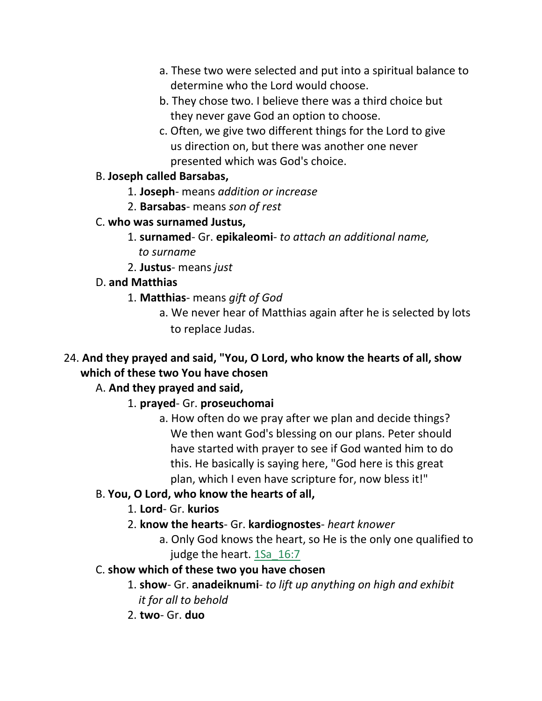- a. These two were selected and put into a spiritual balance to determine who the Lord would choose.
- b. They chose two. I believe there was a third choice but they never gave God an option to choose.
- c. Often, we give two different things for the Lord to give us direction on, but there was another one never presented which was God's choice.

#### B. **Joseph called Barsabas,**

- 1. **Joseph** means *addition or increase*
- 2. **Barsabas** means *son of rest*
- C. **who was surnamed Justus,**
	- 1. **surnamed** Gr. **epikaleomi** *to attach an additional name,* *to surname*
	- 2. **Justus** means *just*

### D. **and Matthias**

- 1. **Matthias** means *gift of God*
	- a. We never hear of Matthias again after he is selected by lots to replace Judas.
- 24. **And they prayed and said, "You, O Lord, who know the hearts of all, show which of these two You have chosen**

# A. **And they prayed and said,**

- 1. **prayed** Gr. **proseuchomai**
	- a. How often do we pray after we plan and decide things? We then want God's blessing on our plans. Peter should have started with prayer to see if God wanted him to do this. He basically is saying here, "God here is this great plan, which I even have scripture for, now bless it!"

### B. **You, O Lord, who know the hearts of all,**

### 1. **Lord**- Gr. **kurios**

- 2. **know the hearts** Gr. **kardiognostes** *heart knower*
	- a. Only God knows the heart, so He is the only one qualified to judge the heart. 1Sa 16:7
- C. **show which of these two you have chosen**
	- 1. **show** Gr. **anadeiknumi** *to lift up anything on high and exhibit it for all to behold*
	- 2. **two** Gr. **duo**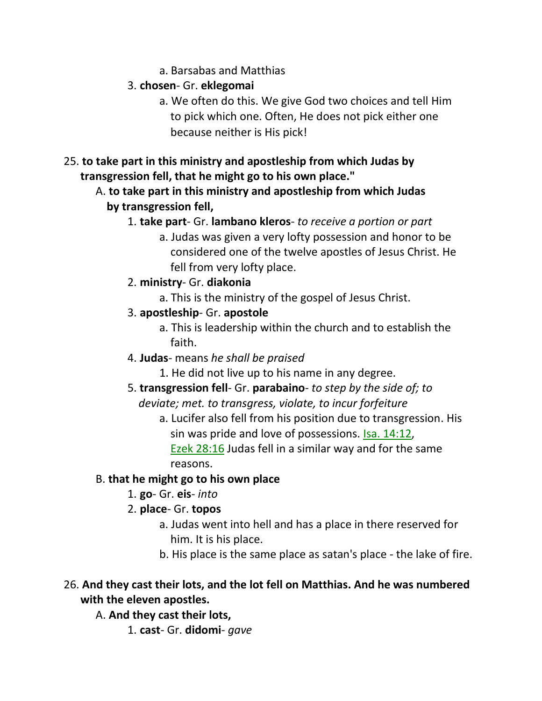a. Barsabas and Matthias

# 3. **chosen**- Gr. **eklegomai**

- a. We often do this. We give God two choices and tell Him to pick which one. Often, He does not pick either one because neither is His pick!
- 25. **to take part in this ministry and apostleship from which Judas by transgression fell, that he might go to his own place."**
	- A. **to take part in this ministry and apostleship from which Judas by transgression fell,**
		- 1. **take part** Gr. **lambano kleros** *to receive a portion or part*
			- a. Judas was given a very lofty possession and honor to be considered one of the twelve apostles of Jesus Christ. He fell from very lofty place.
		- 2. **ministry** Gr. **diakonia**
			- a. This is the ministry of the gospel of Jesus Christ.
		- 3. **apostleship** Gr. **apostole**
			- a. This is leadership within the church and to establish the faith.
		- 4. **Judas** means *he shall be praised*
			- 1. He did not live up to his name in any degree.
		- 5. **transgression fell** Gr. **parabaino** *to step by the side of; to*  *deviate; met. to transgress, violate, to incur forfeiture*
			- a. Lucifer also fell from his position due to transgression. His sin was pride and love of possessions. Isa. 14:12, Ezek 28:16 Judas fell in a similar way and for the same
				- reasons.

# B. **that he might go to his own place**

- 1. **go** Gr. **eis** *into*
- 2. **place** Gr. **topos**
	- a. Judas went into hell and has a place in there reserved for him. It is his place.
	- b. His place is the same place as satan's place the lake of fire.

# 26. **And they cast their lots, and the lot fell on Matthias. And he was numbered with the eleven apostles.**

A. **And they cast their lots,**

1. **cast**- Gr. **didomi**- *gave*